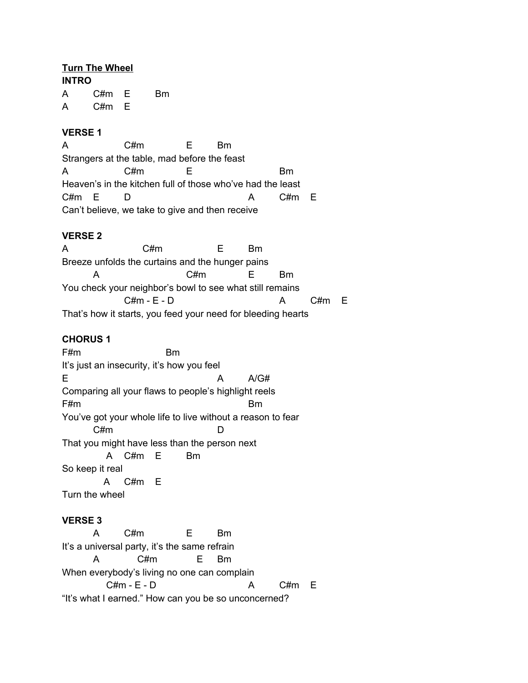## **Turn The Wheel**

**INTRO** A C#m E Bm A C#m E

## **VERSE 1**

A C#m E Bm Strangers at the table, mad before the feast A C#m E Bm Heaven's in the kitchen full of those who've had the least C#m E D A C#m E Can't believe, we take to give and then receive

# **VERSE 2**

A C#m E Bm Breeze unfolds the curtains and the hunger pains A C#m E Bm You check your neighbor's bowl to see what still remains  $C#m - E - D$  A  $C#m$  E That's how it starts, you feed your need for bleeding hearts

# **CHORUS 1**

F#m Bm It's just an insecurity, it's how you feel E A A/G# Comparing all your flaws to people's highlight reels F#m Bm You've got your whole life to live without a reason to fear C#m D That you might have less than the person next A C#m E Bm So keep it real A C#m E Turn the wheel

## **VERSE 3**

A C#m E Bm It's a universal party, it's the same refrain A C#m E Bm When everybody's living no one can complain  $C#m - E - D$  A  $C#m E$ "It's what I earned." How can you be so unconcerned?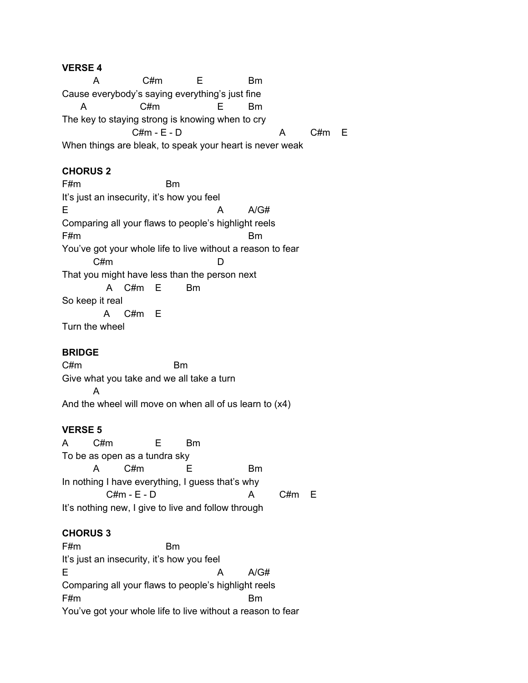### **VERSE 4**

A C#m E Bm Cause everybody's saying everything's just fine A C#m E Bm The key to staying strong is knowing when to cry  $C#m - E - D$  A  $C#m$  E When things are bleak, to speak your heart is never weak

## **CHORUS 2**

F#m Bm It's just an insecurity, it's how you feel E A A/G# Comparing all your flaws to people's highlight reels F#m Bm You've got your whole life to live without a reason to fear C#m D That you might have less than the person next A C#m E Bm So keep it real A C#m E Turn the wheel

#### **BRIDGE**

C#m Bm Give what you take and we all take a turn A And the wheel will move on when all of us learn to (x4)

#### **VERSE 5**

A C#m E Bm To be as open as a tundra sky A C#m E Bm In nothing I have everything, I guess that's why  $C#m - E - D$  A  $C#m$  E It's nothing new, I give to live and follow through

#### **CHORUS 3**

F#m Bm It's just an insecurity, it's how you feel E A A/G# Comparing all your flaws to people's highlight reels F#m Bm You've got your whole life to live without a reason to fear